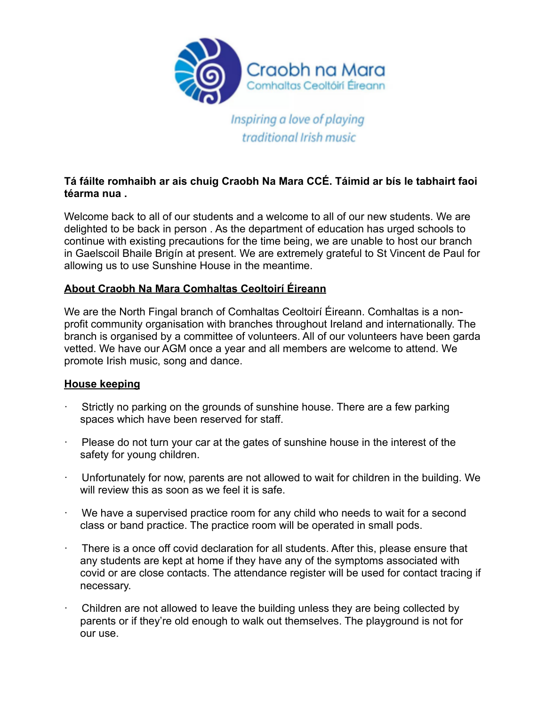

Inspiring a love of playing traditional Irish music

# **Tá fáilte romhaibh ar ais chuig Craobh Na Mara CCÉ. Táimid ar bís le tabhairt faoi téarma nua .**

Welcome back to all of our students and a welcome to all of our new students. We are delighted to be back in person . As the department of education has urged schools to continue with existing precautions for the time being, we are unable to host our branch in Gaelscoil Bhaile Brigín at present. We are extremely grateful to St Vincent de Paul for allowing us to use Sunshine House in the meantime.

# **About Craobh Na Mara Comhaltas Ceoltoirí Éireann**

We are the North Fingal branch of Comhaltas Ceoltoirí Éireann. Comhaltas is a nonprofit community organisation with branches throughout Ireland and internationally. The branch is organised by a committee of volunteers. All of our volunteers have been garda vetted. We have our AGM once a year and all members are welcome to attend. We promote Irish music, song and dance.

## **House keeping**

- Strictly no parking on the grounds of sunshine house. There are a few parking spaces which have been reserved for staff.
- · Please do not turn your car at the gates of sunshine house in the interest of the safety for young children.
- · Unfortunately for now, parents are not allowed to wait for children in the building. We will review this as soon as we feel it is safe.
- · We have a supervised practice room for any child who needs to wait for a second class or band practice. The practice room will be operated in small pods.
- There is a once off covid declaration for all students. After this, please ensure that any students are kept at home if they have any of the symptoms associated with covid or are close contacts. The attendance register will be used for contact tracing if necessary.
- Children are not allowed to leave the building unless they are being collected by parents or if they're old enough to walk out themselves. The playground is not for our use.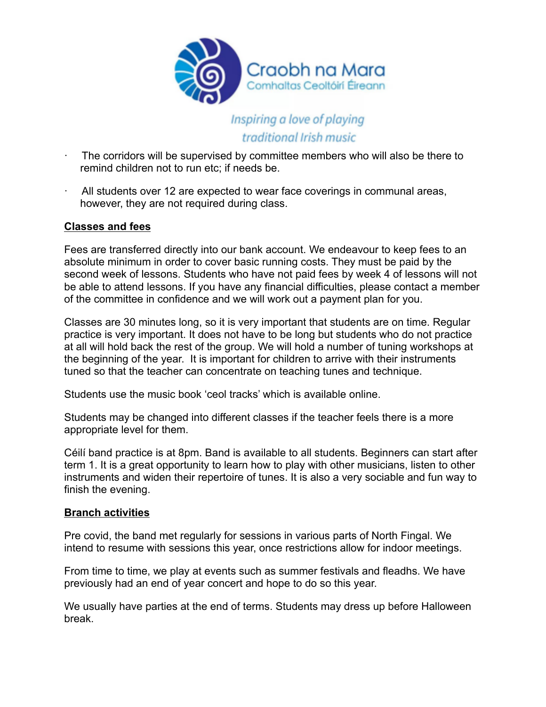

# Inspiring a love of playing traditional Irish music

- The corridors will be supervised by committee members who will also be there to remind children not to run etc; if needs be.
- · All students over 12 are expected to wear face coverings in communal areas, however, they are not required during class.

# **Classes and fees**

Fees are transferred directly into our bank account. We endeavour to keep fees to an absolute minimum in order to cover basic running costs. They must be paid by the second week of lessons. Students who have not paid fees by week 4 of lessons will not be able to attend lessons. If you have any financial difficulties, please contact a member of the committee in confidence and we will work out a payment plan for you.

Classes are 30 minutes long, so it is very important that students are on time. Regular practice is very important. It does not have to be long but students who do not practice at all will hold back the rest of the group. We will hold a number of tuning workshops at the beginning of the year. It is important for children to arrive with their instruments tuned so that the teacher can concentrate on teaching tunes and technique.

Students use the music book 'ceol tracks' which is available online.

Students may be changed into different classes if the teacher feels there is a more appropriate level for them.

Céilí band practice is at 8pm. Band is available to all students. Beginners can start after term 1. It is a great opportunity to learn how to play with other musicians, listen to other instruments and widen their repertoire of tunes. It is also a very sociable and fun way to finish the evening.

## **Branch activities**

Pre covid, the band met regularly for sessions in various parts of North Fingal. We intend to resume with sessions this year, once restrictions allow for indoor meetings.

From time to time, we play at events such as summer festivals and fleadhs. We have previously had an end of year concert and hope to do so this year.

We usually have parties at the end of terms. Students may dress up before Halloween break.